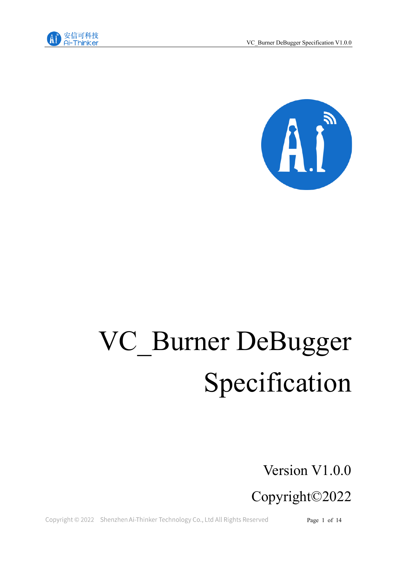



# VC\_Burner DeBugger Specification

Version V1.0.0

Copyright©2022

Copyright © 2022 Shenzhen Ai-Thinker Technology Co., Ltd All Rights Reserved

Page 1 of 14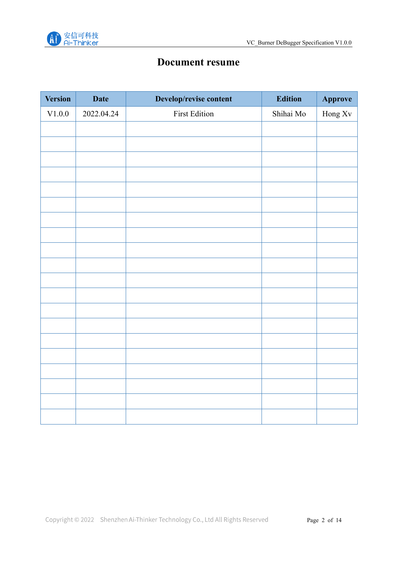

# **Document resume**

| <b>Version</b> | <b>Date</b> | Develop/revise content | <b>Edition</b> | Approve |
|----------------|-------------|------------------------|----------------|---------|
| V1.0.0         | 2022.04.24  | <b>First Edition</b>   | Shihai Mo      | Hong Xv |
|                |             |                        |                |         |
|                |             |                        |                |         |
|                |             |                        |                |         |
|                |             |                        |                |         |
|                |             |                        |                |         |
|                |             |                        |                |         |
|                |             |                        |                |         |
|                |             |                        |                |         |
|                |             |                        |                |         |
|                |             |                        |                |         |
|                |             |                        |                |         |
|                |             |                        |                |         |
|                |             |                        |                |         |
|                |             |                        |                |         |
|                |             |                        |                |         |
|                |             |                        |                |         |
|                |             |                        |                |         |
|                |             |                        |                |         |
|                |             |                        |                |         |
|                |             |                        |                |         |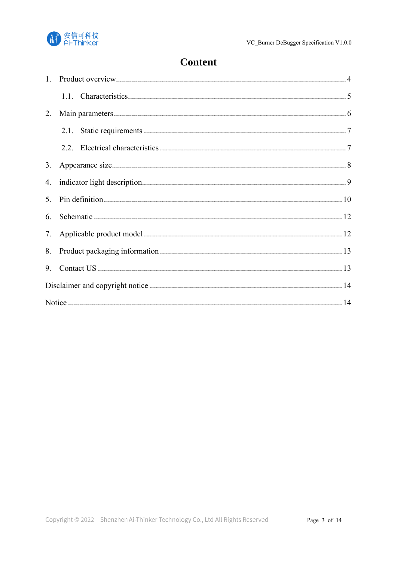

# **Content**

| 2. |      |  |
|----|------|--|
|    | 2.1. |  |
|    |      |  |
| 3. |      |  |
| 4. |      |  |
| 5. |      |  |
| 6. |      |  |
| 7. |      |  |
| 8. |      |  |
| 9. |      |  |
|    |      |  |
|    |      |  |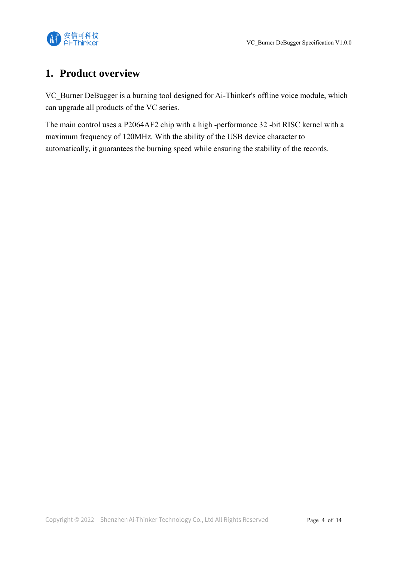

## <span id="page-3-0"></span>**1. Product overview**

VC\_Burner DeBugger is a burning tool designed for Ai-Thinker's offline voice module, which can upgrade all products of the VC series.

The main control uses a P2064AF2 chip with a high -performance 32 -bit RISC kernel with a maximum frequency of 120MHz. With the ability of the USB device character to automatically, it guarantees the burning speed while ensuring the stability of the records.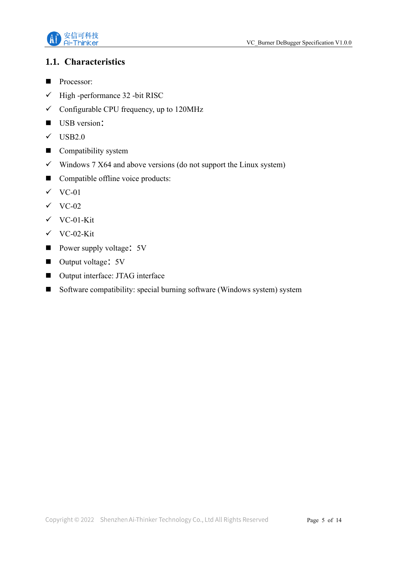

#### <span id="page-4-0"></span>**1.1. Characteristics**

- Processor:
- $\checkmark$  High -performance 32 -bit RISC
- $\checkmark$  Configurable CPU frequency, up to 120MHz
- USB version:
- $\checkmark$  USB2.0
- Compatibility system
- $\checkmark$  Windows 7 X64 and above versions (do not support the Linux system)
- Compatible offline voice products:
- $\checkmark$  VC-01
- $\checkmark$  VC-02
- ✓ VC-01-Kit
- ✓ VC-02-Kit
- Power supply voltage: 5V
- Output voltage: 5V
- Output interface: JTAG interface
- Software compatibility: special burning software (Windows system) system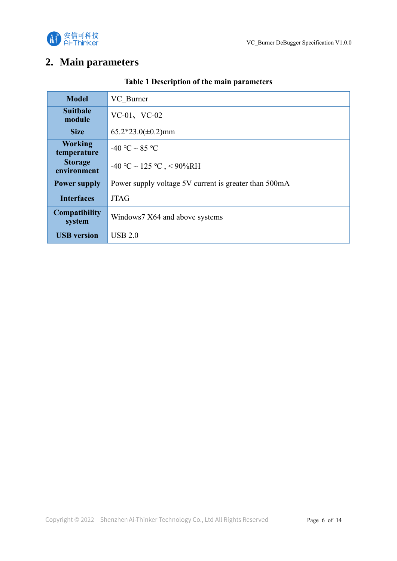

## <span id="page-5-0"></span>**2. Main parameters**

| <b>Model</b>                   | VC Burner                                             |  |
|--------------------------------|-------------------------------------------------------|--|
| <b>Suitbale</b><br>module      | $VC-01$ , $VC-02$                                     |  |
| <b>Size</b>                    | $65.2*23.0(\pm 0.2)$ mm                               |  |
| <b>Working</b><br>temperature  | -40 °C ~ 85 °C                                        |  |
| <b>Storage</b><br>environment  | -40 °C ~ 125 °C , < 90%RH                             |  |
| <b>Power supply</b>            | Power supply voltage 5V current is greater than 500mA |  |
| <b>Interfaces</b>              | <b>JTAG</b>                                           |  |
| <b>Compatibility</b><br>system | Windows7 X64 and above systems                        |  |
| <b>USB</b> version             | USB 2.0                                               |  |

#### **Table 1 Description of the main parameters**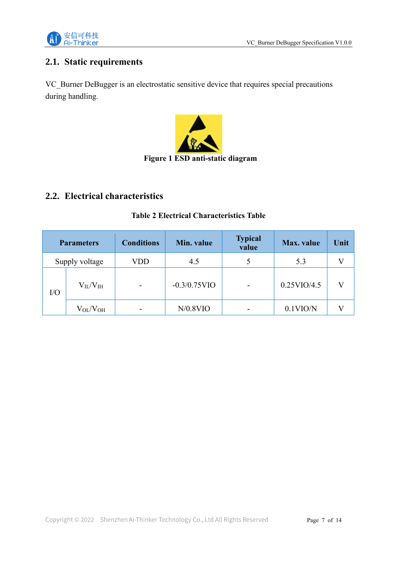

## <span id="page-6-0"></span>**2.1. Static requirements**

VC\_Burner DeBugger is an electrostatic sensitive device that requires special precautions during handling.



## <span id="page-6-1"></span>**2.2. Electrical characteristics**

#### **Table 2 Electrical Characteristics Table**

| <b>Parameters</b> |                     | <b>Conditions</b>        | Min. value      | <b>Typical</b><br>value | <b>Max.</b> value | Unit |
|-------------------|---------------------|--------------------------|-----------------|-------------------------|-------------------|------|
| Supply voltage    |                     | VDD                      | 4.5             |                         | 5.3               |      |
| $\rm LO$          | $V_{II}/V_{III}$    | $\overline{\phantom{0}}$ | $-0.3/0.75$ VIO | ۰                       | 0.25VIO/4.5       |      |
|                   | $\rm V_{OL}/V_{OH}$ |                          | $N/0.8$ VIO     |                         | $0.1$ VIO/N       |      |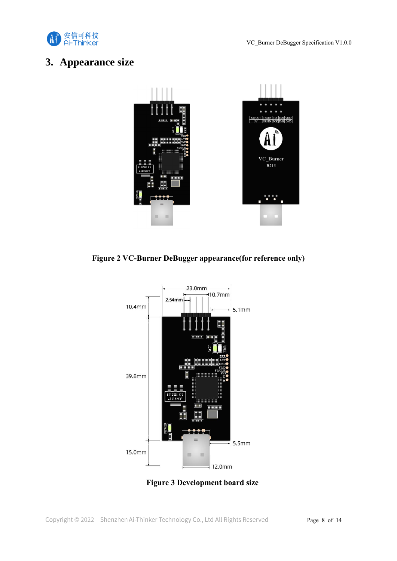



## <span id="page-7-0"></span>**3. Appearance size**



**Figure 2 VC-Burner DeBugger appearance(for reference only)**



**Figure 3 Development board size**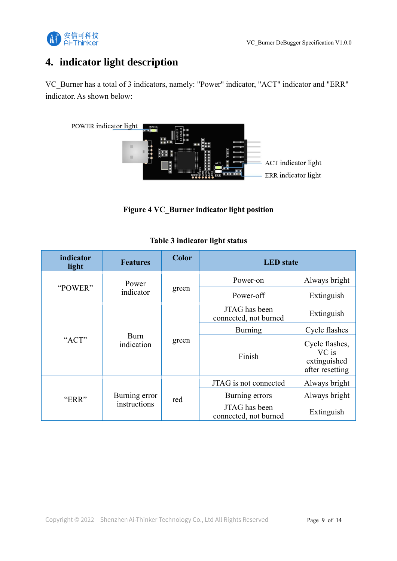

# <span id="page-8-0"></span>**4. indicator light description**

VC\_Burner has a total of 3 indicators, namely: "Power" indicator, "ACT" indicator and "ERR" indicator. As shown below:



**Figure 4 VC\_Burner indicator light position**

| indicator<br>light | <b>Features</b>               | <b>Color</b> | <b>LED</b> state                       |                                                            |
|--------------------|-------------------------------|--------------|----------------------------------------|------------------------------------------------------------|
|                    | Power<br>indicator            | green        | Power-on                               | Always bright                                              |
| "POWER"            |                               |              | Power-off                              | Extinguish                                                 |
|                    |                               | green        | JTAG has been<br>connected, not burned | Extinguish                                                 |
| "ACT"              | Burn<br>indication            |              | Burning                                | Cycle flashes                                              |
|                    |                               |              | Finish                                 | Cycle flashes,<br>VC is<br>extinguished<br>after resetting |
| "ERR"              |                               | red          | JTAG is not connected                  | Always bright                                              |
|                    | Burning error<br>instructions |              | Burning errors                         | Always bright                                              |
|                    |                               |              | JTAG has been<br>connected, not burned | Extinguish                                                 |

#### **Table 3 indicator light status**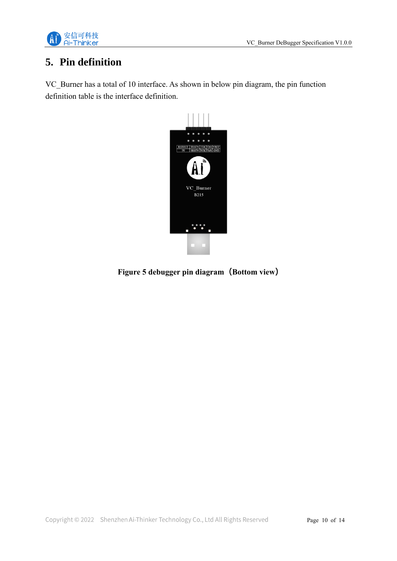

# <span id="page-9-0"></span>**5. Pin definition**

VC\_Burner has a total of 10 interface. As shown in below pin diagram, the pin function definition table is the interface definition.



**Figure 5 debugger pin diagram (Bottom view)**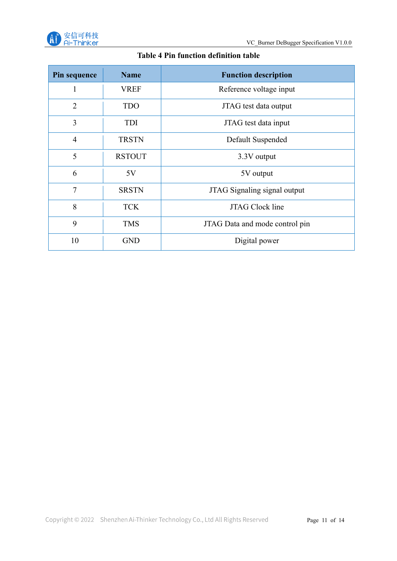

#### **Table 4 Pin function definition table**

| Pin sequence   | <b>Name</b>   | <b>Function description</b>    |
|----------------|---------------|--------------------------------|
|                | <b>VREF</b>   | Reference voltage input        |
| $\overline{2}$ | <b>TDO</b>    | JTAG test data output          |
| 3              | TDI           | JTAG test data input           |
| $\overline{4}$ | <b>TRSTN</b>  | Default Suspended              |
| 5              | <b>RSTOUT</b> | 3.3V output                    |
| 6              | 5V            | 5V output                      |
| 7              | <b>SRSTN</b>  | JTAG Signaling signal output   |
| 8              | <b>TCK</b>    | <b>JTAG Clock line</b>         |
| 9              | <b>TMS</b>    | JTAG Data and mode control pin |
| 10             | <b>GND</b>    | Digital power                  |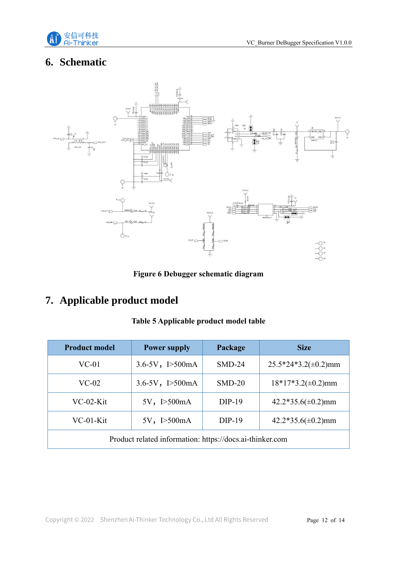

# <span id="page-11-0"></span>**6. Schematic**



**Figure 6 Debugger schematic diagram**

# <span id="page-11-1"></span>**7. Applicable product model**

#### **Table 5 Applicable product model table**

| <b>Product model</b>                                              | <b>Power supply</b>      | Package  | <b>Size</b>               |  |
|-------------------------------------------------------------------|--------------------------|----------|---------------------------|--|
| $VC-01$                                                           | $3.6 - 5V$ , $I > 500mA$ | $SMD-24$ | $25.5*24*3.2(\pm 0.2)$ mm |  |
| $VC-02$                                                           | $3.6 - 5V$ , $I > 500mA$ | $SMD-20$ | $18*17*3.2(\pm 0.2)$ mm   |  |
| $VC-02-Kit$                                                       | 5V, I > 500mA            | $DIP-19$ | $42.2*35.6(\pm 0.2)$ mm   |  |
| $42.2*35.6(\pm 0.2)$ mm<br>VC-01-Kit<br>5V, I > 500mA<br>$DIP-19$ |                          |          |                           |  |
| Product related information: https://docs.ai-thinker.com          |                          |          |                           |  |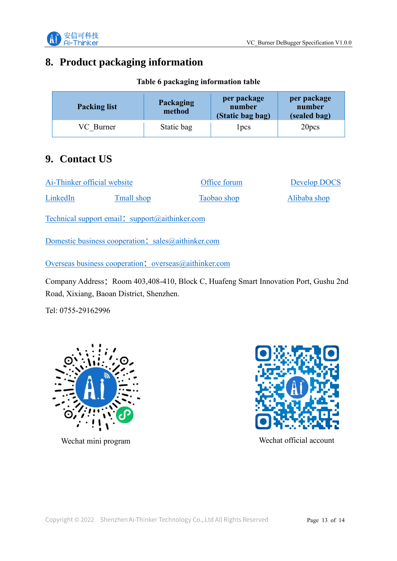

## <span id="page-12-0"></span>**8. Product packaging information**

| <b>Packing list</b> | Packaging<br>method | per package<br>number<br>(Static bag bag) | per package<br>number<br>(sealed bag) |
|---------------------|---------------------|-------------------------------------------|---------------------------------------|
| VC Burner           | Static bag          | l pcs                                     | 20pcs                                 |

**Table 6 packaging information table**

# <span id="page-12-1"></span>**9. Contact US**

| Ai-Thinker official website |            | Office forum | Develop DOCS |  |
|-----------------------------|------------|--------------|--------------|--|
| LinkedIn                    | Tmall shop | Taobao shop  | Alibaba shop |  |

[Technical support email](mailto:support@aithinker.com):  $support@aithinker.com$ 

[Domestic business cooperation](mailto:sales@aithinker.com): sales@aithinker.com

[Overseas business cooperation](mailto:overseas@aithinker.com): overseas@aithinker.com

Company Address: Room 403,408-410, Block C, Huafeng Smart Innovation Port, Gushu 2nd Road, Xixiang, Baoan District, Shenzhen.

Tel: 0755-29162996





Wechat mini program Wechat official account